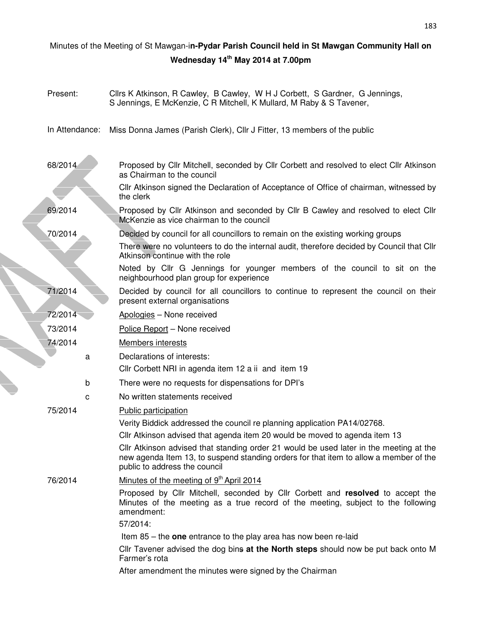|  | Minutes of the Meeting of St Mawgan-in-Pydar Parish Council held in St Mawgan Community Hall on |   |                                                                                                                                                                                                                                                                                                                                                                          |  |  |
|--|-------------------------------------------------------------------------------------------------|---|--------------------------------------------------------------------------------------------------------------------------------------------------------------------------------------------------------------------------------------------------------------------------------------------------------------------------------------------------------------------------|--|--|
|  |                                                                                                 |   | Wednesday 14 <sup>th</sup> May 2014 at 7.00pm                                                                                                                                                                                                                                                                                                                            |  |  |
|  |                                                                                                 |   |                                                                                                                                                                                                                                                                                                                                                                          |  |  |
|  | Present:                                                                                        |   | Cllrs K Atkinson, R Cawley, B Cawley, W H J Corbett, S Gardner, G Jennings,<br>S Jennings, E McKenzie, C R Mitchell, K Mullard, M Raby & S Tavener,                                                                                                                                                                                                                      |  |  |
|  | In Attendance:                                                                                  |   | Miss Donna James (Parish Clerk), Cllr J Fitter, 13 members of the public                                                                                                                                                                                                                                                                                                 |  |  |
|  | 68/2014                                                                                         |   | Proposed by Cllr Mitchell, seconded by Cllr Corbett and resolved to elect Cllr Atkinson<br>as Chairman to the council                                                                                                                                                                                                                                                    |  |  |
|  |                                                                                                 |   | CIIr Atkinson signed the Declaration of Acceptance of Office of chairman, witnessed by<br>the clerk                                                                                                                                                                                                                                                                      |  |  |
|  | 69/2014                                                                                         |   | Proposed by Cllr Atkinson and seconded by Cllr B Cawley and resolved to elect Cllr<br>McKenzie as vice chairman to the council                                                                                                                                                                                                                                           |  |  |
|  | 70/2014                                                                                         |   | Decided by council for all councillors to remain on the existing working groups<br>There were no volunteers to do the internal audit, therefore decided by Council that Cllr<br>Atkinson continue with the role                                                                                                                                                          |  |  |
|  |                                                                                                 |   | Noted by Cllr G Jennings for younger members of the council to sit on the<br>neighbourhood plan group for experience                                                                                                                                                                                                                                                     |  |  |
|  | 71/2014                                                                                         |   | Decided by council for all councillors to continue to represent the council on their<br>present external organisations                                                                                                                                                                                                                                                   |  |  |
|  | 72/2014                                                                                         |   | Apologies - None received                                                                                                                                                                                                                                                                                                                                                |  |  |
|  | 73/2014                                                                                         |   | Police Report - None received                                                                                                                                                                                                                                                                                                                                            |  |  |
|  | 74/2014                                                                                         |   | <b>Members interests</b>                                                                                                                                                                                                                                                                                                                                                 |  |  |
|  |                                                                                                 | a | Declarations of interests:                                                                                                                                                                                                                                                                                                                                               |  |  |
|  |                                                                                                 |   | Cllr Corbett NRI in agenda item 12 a ii and item 19                                                                                                                                                                                                                                                                                                                      |  |  |
|  |                                                                                                 | b | There were no requests for dispensations for DPI's                                                                                                                                                                                                                                                                                                                       |  |  |
|  |                                                                                                 |   | No written statements received                                                                                                                                                                                                                                                                                                                                           |  |  |
|  | 75/2014                                                                                         |   | <b>Public participation</b><br>Verity Biddick addressed the council re planning application PA14/02768.<br>CIIr Atkinson advised that agenda item 20 would be moved to agenda item 13<br>CIIr Atkinson advised that standing order 21 would be used later in the meeting at the<br>new agenda Item 13, to suspend standing orders for that item to allow a member of the |  |  |
|  |                                                                                                 |   | public to address the council                                                                                                                                                                                                                                                                                                                                            |  |  |
|  | 76/2014                                                                                         |   | Minutes of the meeting of 9 <sup>th</sup> April 2014                                                                                                                                                                                                                                                                                                                     |  |  |
|  |                                                                                                 |   | Proposed by Cllr Mitchell, seconded by Cllr Corbett and resolved to accept the<br>Minutes of the meeting as a true record of the meeting, subject to the following<br>amendment:                                                                                                                                                                                         |  |  |
|  |                                                                                                 |   | 57/2014:                                                                                                                                                                                                                                                                                                                                                                 |  |  |
|  |                                                                                                 |   | Item $85$ – the one entrance to the play area has now been re-laid                                                                                                                                                                                                                                                                                                       |  |  |
|  |                                                                                                 |   | Cllr Tavener advised the dog bins at the North steps should now be put back onto M<br>Farmer's rota                                                                                                                                                                                                                                                                      |  |  |
|  |                                                                                                 |   | After amendment the minutes were signed by the Chairman                                                                                                                                                                                                                                                                                                                  |  |  |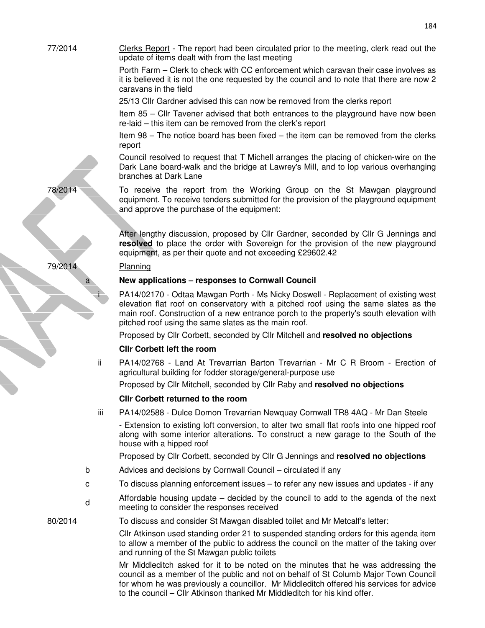77/2014 Clerks Report - The report had been circulated prior to the meeting, clerk read out the update of items dealt with from the last meeting Porth Farm – Clerk to check with CC enforcement which caravan their case involves as it is believed it is not the one requested by the council and to note that there are now 2 caravans in the field 25/13 Cllr Gardner advised this can now be removed from the clerks report Item 85 – Cllr Tavener advised that both entrances to the playground have now been re-laid – this item can be removed from the clerk's report

> Item 98 – The notice board has been fixed – the item can be removed from the clerks report

> Council resolved to request that T Michell arranges the placing of chicken-wire on the Dark Lane board-walk and the bridge at Lawrey's Mill, and to lop various overhanging branches at Dark Lane

78/2014 To receive the report from the Working Group on the St Mawgan playground equipment. To receive tenders submitted for the provision of the playground equipment and approve the purchase of the equipment:

> After lengthy discussion, proposed by Cllr Gardner, seconded by Cllr G Jennings and **resolved** to place the order with Sovereign for the provision of the new playground equipment, as per their quote and not exceeding £29602.42

# a **New applications – responses to Cornwall Council**

PA14/02170 - Odtaa Mawgan Porth - Ms Nicky Doswell - Replacement of existing west elevation flat roof on conservatory with a pitched roof using the same slates as the main roof. Construction of a new entrance porch to the property's south elevation with pitched roof using the same slates as the main roof.

Proposed by Cllr Corbett, seconded by Cllr Mitchell and **resolved no objections**

# **Cllr Corbett left the room**

ii PA14/02768 - Land At Trevarrian Barton Trevarrian - Mr C R Broom - Erection of agricultural building for fodder storage/general-purpose use

Proposed by Cllr Mitchell, seconded by Cllr Raby and **resolved no objections**

# **Cllr Corbett returned to the room**

iii PA14/02588 - Dulce Domon Trevarrian Newquay Cornwall TR8 4AQ - Mr Dan Steele

- Extension to existing loft conversion, to alter two small flat roofs into one hipped roof along with some interior alterations. To construct a new garage to the South of the house with a hipped roof

Proposed by Cllr Corbett, seconded by Cllr G Jennings and **resolved no objections**

- b Advices and decisions by Cornwall Council circulated if any
- c To discuss planning enforcement issues to refer any new issues and updates if any
- d Affordable housing update – decided by the council to add to the agenda of the next meeting to consider the responses received

80/2014 To discuss and consider St Mawgan disabled toilet and Mr Metcalf's letter:

Cllr Atkinson used standing order 21 to suspended standing orders for this agenda item to allow a member of the public to address the council on the matter of the taking over and running of the St Mawgan public toilets

Mr Middleditch asked for it to be noted on the minutes that he was addressing the council as a member of the public and not on behalf of St Columb Major Town Council for whom he was previously a councillor. Mr Middleditch offered his services for advice to the council – Cllr Atkinson thanked Mr Middleditch for his kind offer.

79/2014 Planning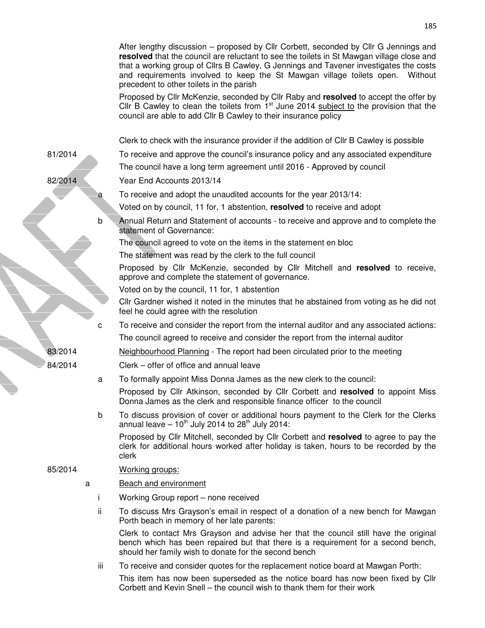|         | After lengthy discussion – proposed by Cllr Corbett, seconded by Cllr G Jennings and<br>resolved that the council are reluctant to see the toilets in St Mawgan village close and<br>that a working group of Cllrs B Cawley, G Jennings and Tavener investigates the costs<br>and requirements involved to keep the St Mawgan village toilets open.<br>Without<br>precedent to other toilets in the parish |
|---------|------------------------------------------------------------------------------------------------------------------------------------------------------------------------------------------------------------------------------------------------------------------------------------------------------------------------------------------------------------------------------------------------------------|
|         | Proposed by Cllr McKenzie, seconded by Cllr Raby and resolved to accept the offer by<br>Cllr B Cawley to clean the toilets from $1st$ June 2014 subject to the provision that the<br>council are able to add Cllr B Cawley to their insurance policy                                                                                                                                                       |
|         | Clerk to check with the insurance provider if the addition of Cllr B Cawley is possible                                                                                                                                                                                                                                                                                                                    |
| 81/2014 | To receive and approve the council's insurance policy and any associated expenditure                                                                                                                                                                                                                                                                                                                       |
|         | The council have a long term agreement until 2016 - Approved by council                                                                                                                                                                                                                                                                                                                                    |
| 82/2014 | Year End Accounts 2013/14                                                                                                                                                                                                                                                                                                                                                                                  |
| a       | To receive and adopt the unaudited accounts for the year 2013/14:                                                                                                                                                                                                                                                                                                                                          |
|         | Voted on by council, 11 for, 1 abstention, resolved to receive and adopt                                                                                                                                                                                                                                                                                                                                   |
| b       | Annual Return and Statement of accounts - to receive and approve and to complete the<br>statement of Governance:                                                                                                                                                                                                                                                                                           |
|         | The council agreed to vote on the items in the statement en bloc                                                                                                                                                                                                                                                                                                                                           |
|         | The statement was read by the clerk to the full council                                                                                                                                                                                                                                                                                                                                                    |
|         | Proposed by Cllr McKenzie, seconded by Cllr Mitchell and resolved to receive,<br>approve and complete the statement of governance.                                                                                                                                                                                                                                                                         |
|         | Voted on by the council, 11 for, 1 abstention                                                                                                                                                                                                                                                                                                                                                              |
|         | Cllr Gardner wished it noted in the minutes that he abstained from voting as he did not<br>feel he could agree with the resolution                                                                                                                                                                                                                                                                         |
| с       | To receive and consider the report from the internal auditor and any associated actions:                                                                                                                                                                                                                                                                                                                   |
|         | The council agreed to receive and consider the report from the internal auditor                                                                                                                                                                                                                                                                                                                            |
| 83/2014 | Neighbourhood Planning - The report had been circulated prior to the meeting                                                                                                                                                                                                                                                                                                                               |
| 84/2014 | Clerk - offer of office and annual leave                                                                                                                                                                                                                                                                                                                                                                   |
| a       | To formally appoint Miss Donna James as the new clerk to the council:                                                                                                                                                                                                                                                                                                                                      |
|         | Proposed by Cllr Atkinson, seconded by Cllr Corbett and resolved to appoint Miss<br>Donna James as the clerk and responsible finance officer to the council                                                                                                                                                                                                                                                |
| b       | To discuss provision of cover or additional hours payment to the Clerk for the Clerks<br>annual leave $-10^{th}$ July 2014 to 28 <sup>th</sup> July 2014:                                                                                                                                                                                                                                                  |
|         | Proposed by Cllr Mitchell, seconded by Cllr Corbett and resolved to agree to pay the<br>clerk for additional hours worked after holiday is taken, hours to be recorded by the<br>clerk                                                                                                                                                                                                                     |
| 85/2014 | Working groups:                                                                                                                                                                                                                                                                                                                                                                                            |
| a       | <b>Beach and environment</b>                                                                                                                                                                                                                                                                                                                                                                               |
| Ť       | Working Group report - none received                                                                                                                                                                                                                                                                                                                                                                       |
| ii.     | To discuss Mrs Grayson's email in respect of a donation of a new bench for Mawgan<br>Porth beach in memory of her late parents:                                                                                                                                                                                                                                                                            |
|         | Clerk to contact Mrs Grayson and advise her that the council still have the original<br>bench which has been repaired but that there is a requirement for a second bench,<br>should her family wish to donate for the second bench                                                                                                                                                                         |
| iii.    | To receive and consider quotes for the replacement notice board at Mawgan Porth:                                                                                                                                                                                                                                                                                                                           |
|         | This item has now been superseded as the notice board has now been fixed by Cllr<br>Corbett and Kevin Snell – the council wish to thank them for their work                                                                                                                                                                                                                                                |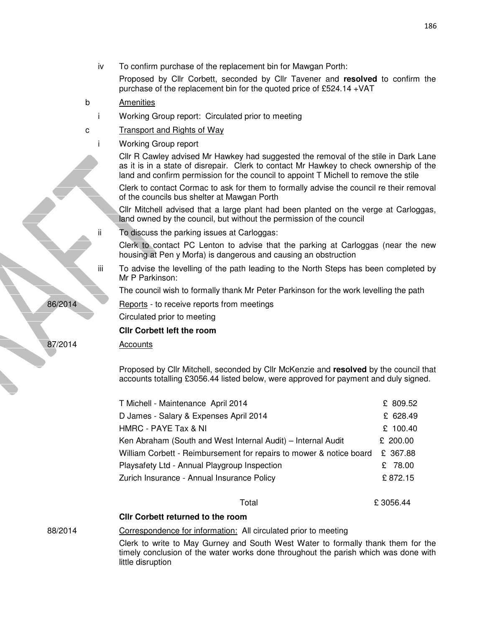| iv      | To confirm purchase of the replacement bin for Mawgan Porth:                                                                                                                                                                                                          |          |
|---------|-----------------------------------------------------------------------------------------------------------------------------------------------------------------------------------------------------------------------------------------------------------------------|----------|
|         | Proposed by Cllr Corbett, seconded by Cllr Tavener and resolved to confirm the<br>purchase of the replacement bin for the quoted price of £524.14 + VAT                                                                                                               |          |
| b       | Amenities                                                                                                                                                                                                                                                             |          |
|         | Working Group report: Circulated prior to meeting                                                                                                                                                                                                                     |          |
| с       | <b>Transport and Rights of Way</b>                                                                                                                                                                                                                                    |          |
|         | <b>Working Group report</b>                                                                                                                                                                                                                                           |          |
|         | CIIr R Cawley advised Mr Hawkey had suggested the removal of the stile in Dark Lane<br>as it is in a state of disrepair. Clerk to contact Mr Hawkey to check ownership of the<br>land and confirm permission for the council to appoint T Michell to remove the stile |          |
|         | Clerk to contact Cormac to ask for them to formally advise the council re their removal<br>of the councils bus shelter at Mawgan Porth                                                                                                                                |          |
|         | Cllr Mitchell advised that a large plant had been planted on the verge at Carloggas,<br>land owned by the council, but without the permission of the council                                                                                                          |          |
| ii.     | To discuss the parking issues at Carloggas:                                                                                                                                                                                                                           |          |
|         | Clerk to contact PC Lenton to advise that the parking at Carloggas (near the new<br>housing at Pen y Morfa) is dangerous and causing an obstruction                                                                                                                   |          |
| iίi     | To advise the levelling of the path leading to the North Steps has been completed by<br>Mr P Parkinson:                                                                                                                                                               |          |
|         | The council wish to formally thank Mr Peter Parkinson for the work levelling the path                                                                                                                                                                                 |          |
| 86/2014 | Reports - to receive reports from meetings                                                                                                                                                                                                                            |          |
|         | Circulated prior to meeting                                                                                                                                                                                                                                           |          |
|         | <b>Clir Corbett left the room</b>                                                                                                                                                                                                                                     |          |
| 87/2014 | <b>Accounts</b>                                                                                                                                                                                                                                                       |          |
|         |                                                                                                                                                                                                                                                                       |          |
|         | Proposed by Cllr Mitchell, seconded by Cllr McKenzie and resolved by the council that<br>accounts totalling £3056.44 listed below, were approved for payment and duly signed.                                                                                         |          |
|         | T Michell - Maintenance April 2014                                                                                                                                                                                                                                    | £ 809.52 |
|         | D James - Salary & Expenses April 2014                                                                                                                                                                                                                                | £ 628.49 |
|         | HMRC - PAYE Tax & NI                                                                                                                                                                                                                                                  | £ 100.40 |
|         | Ken Abraham (South and West Internal Audit) - Internal Audit                                                                                                                                                                                                          | £ 200.00 |
|         | William Corbett - Reimbursement for repairs to mower & notice board                                                                                                                                                                                                   | £ 367.88 |
|         | Playsafety Ltd - Annual Playgroup Inspection                                                                                                                                                                                                                          | £ 78.00  |
|         | Zurich Insurance - Annual Insurance Policy                                                                                                                                                                                                                            | £872.15  |
|         | Total                                                                                                                                                                                                                                                                 | £3056.44 |
|         | <b>Clir Corbett returned to the room</b>                                                                                                                                                                                                                              |          |
| 88/2014 | Correspondence for information: All circulated prior to meeting                                                                                                                                                                                                       |          |
|         | Clerk to write to May Gurney and South West Water to formally thank them for the<br>timely conclusion of the water works done throughout the parish which was done with<br>little disruption                                                                          |          |